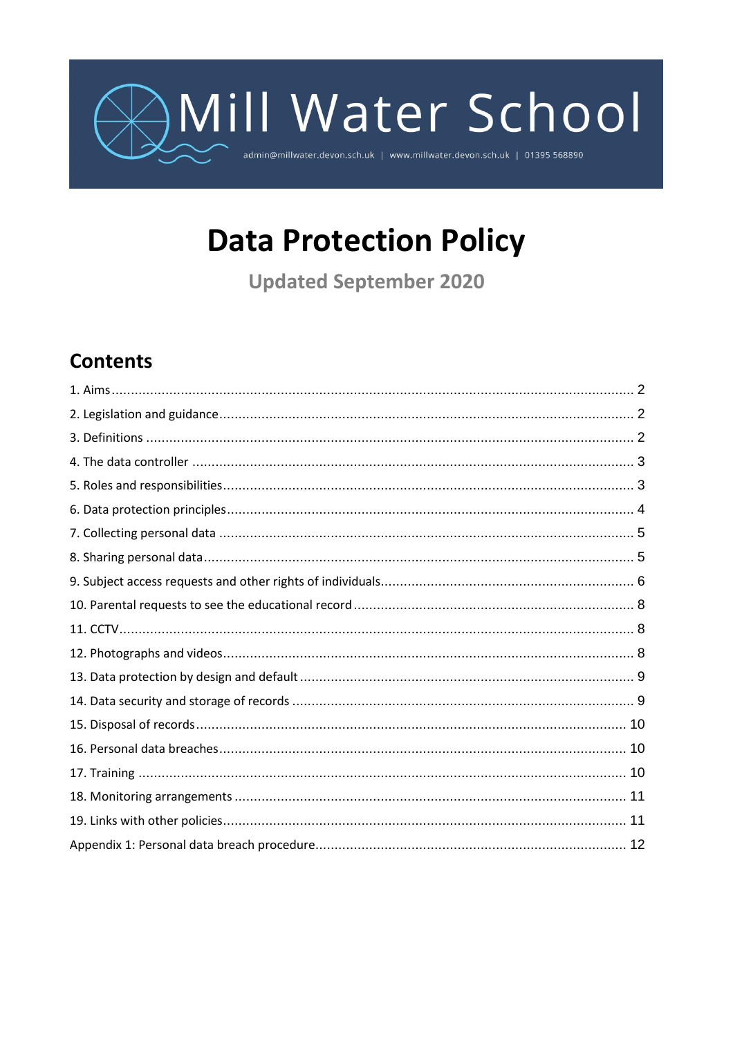# Mill Water School admin@millwater.devon.sch.uk | www.millwater.devon.sch.uk | 01395 568890

## **Data Protection Policy**

**Updated September 2020** 

### **Contents**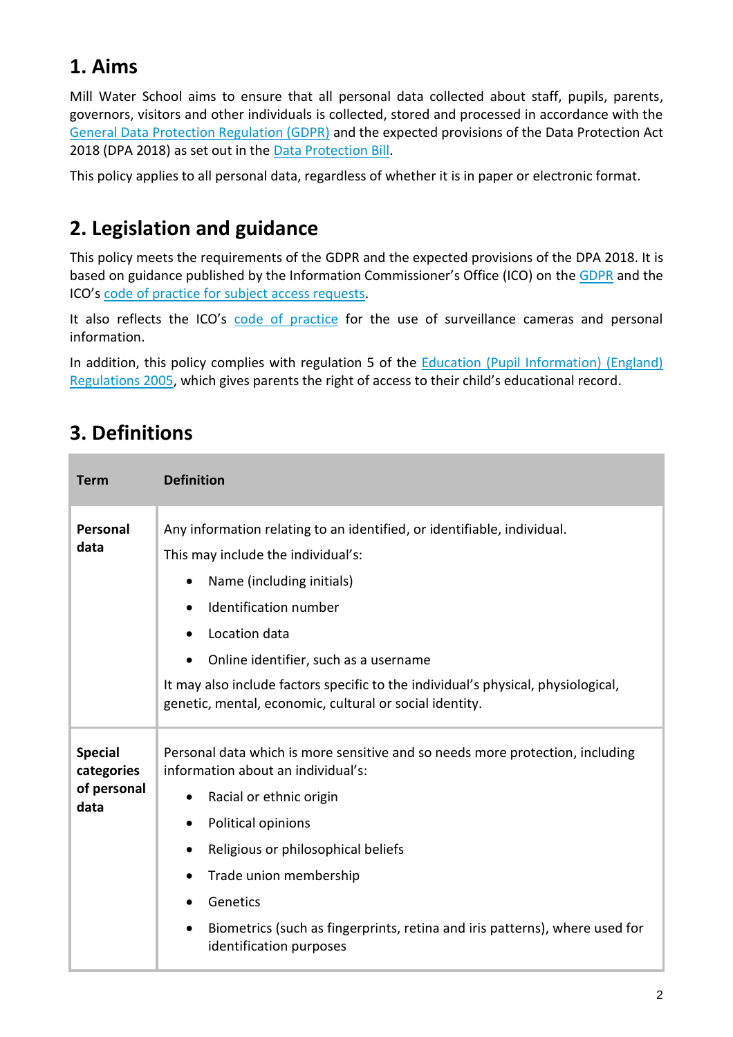### **1. Aims**

Mill Water School aims to ensure that all personal data collected about staff, pupils, parents, governors, visitors and other individuals is collected, stored and processed in accordance with the [General Data Protection Regulation \(GDPR\)](http://data.consilium.europa.eu/doc/document/ST-5419-2016-INIT/en/pdf) and the expected provisions of the Data Protection Act 2018 (DPA 2018) as set out in the [Data Protection Bill.](https://publications.parliament.uk/pa/bills/cbill/2017-2019/0153/18153.pdf)

This policy applies to all personal data, regardless of whether it is in paper or electronic format.

### **2. Legislation and guidance**

This policy meets the requirements of the GDPR and the expected provisions of the DPA 2018. It is based on guidance published by the Information Commissioner's Office (ICO) on the [GDPR](https://ico.org.uk/for-organisations/guide-to-the-general-data-protection-regulation-gdpr/individual-rights/right-to-be-informed/) and the ICO's [code of practice for subject access requests.](https://ico.org.uk/media/for-organisations/documents/2014223/subject-access-code-of-practice.pdf)

It also reflects the ICO's [code of practice](https://ico.org.uk/media/for-organisations/documents/1542/cctv-code-of-practice.pdf) for the use of surveillance cameras and personal information.

In addition, this policy complies with regulation 5 of the Education (Pupil Information) (England) [Regulations 2005,](http://www.legislation.gov.uk/uksi/2005/1437/regulation/5/made) which gives parents the right of access to their child's educational record.

### **3. Definitions**

| <b>Term</b>                                         | <b>Definition</b>                                                                                                                                                                                                                                                                                                                                                                                                        |
|-----------------------------------------------------|--------------------------------------------------------------------------------------------------------------------------------------------------------------------------------------------------------------------------------------------------------------------------------------------------------------------------------------------------------------------------------------------------------------------------|
| Personal<br>data                                    | Any information relating to an identified, or identifiable, individual.<br>This may include the individual's:<br>Name (including initials)<br>$\bullet$<br>Identification number<br>$\bullet$<br>Location data<br>Online identifier, such as a username<br>$\bullet$<br>It may also include factors specific to the individual's physical, physiological,<br>genetic, mental, economic, cultural or social identity.     |
| <b>Special</b><br>categories<br>of personal<br>data | Personal data which is more sensitive and so needs more protection, including<br>information about an individual's:<br>Racial or ethnic origin<br>٠<br>Political opinions<br>٠<br>Religious or philosophical beliefs<br>$\bullet$<br>Trade union membership<br>$\bullet$<br>Genetics<br>$\bullet$<br>Biometrics (such as fingerprints, retina and iris patterns), where used for<br>$\bullet$<br>identification purposes |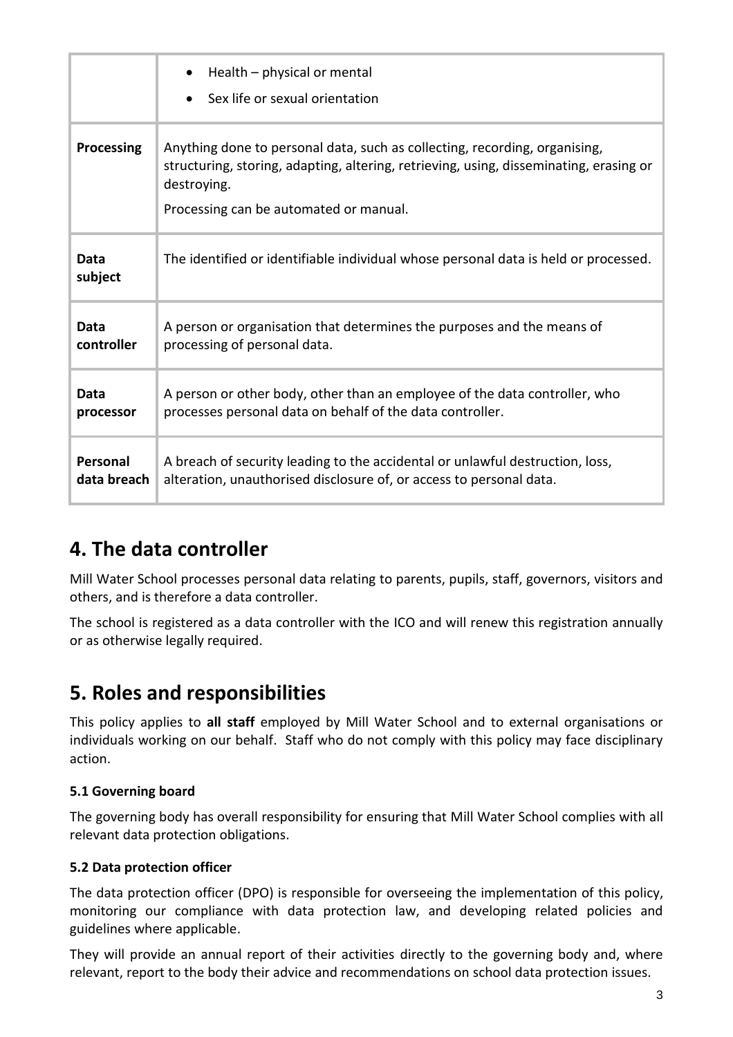|                 | Health – physical or mental<br>Sex life or sexual orientation                                                                                                                                                                 |
|-----------------|-------------------------------------------------------------------------------------------------------------------------------------------------------------------------------------------------------------------------------|
| Processing      | Anything done to personal data, such as collecting, recording, organising,<br>structuring, storing, adapting, altering, retrieving, using, disseminating, erasing or<br>destroying.<br>Processing can be automated or manual. |
| Data<br>subject | The identified or identifiable individual whose personal data is held or processed.                                                                                                                                           |
| Data            | A person or organisation that determines the purposes and the means of                                                                                                                                                        |
| controller      | processing of personal data.                                                                                                                                                                                                  |
| Data            | A person or other body, other than an employee of the data controller, who                                                                                                                                                    |
| processor       | processes personal data on behalf of the data controller.                                                                                                                                                                     |
| Personal        | A breach of security leading to the accidental or unlawful destruction, loss,                                                                                                                                                 |
| data breach     | alteration, unauthorised disclosure of, or access to personal data.                                                                                                                                                           |

### **4. The data controller**

Mill Water School processes personal data relating to parents, pupils, staff, governors, visitors and others, and is therefore a data controller.

The school is registered as a data controller with the ICO and will renew this registration annually or as otherwise legally required.

### **5. Roles and responsibilities**

This policy applies to **all staff** employed by Mill Water School and to external organisations or individuals working on our behalf. Staff who do not comply with this policy may face disciplinary action.

#### **5.1 Governing board**

The governing body has overall responsibility for ensuring that Mill Water School complies with all relevant data protection obligations.

#### **5.2 Data protection officer**

The data protection officer (DPO) is responsible for overseeing the implementation of this policy, monitoring our compliance with data protection law, and developing related policies and guidelines where applicable.

They will provide an annual report of their activities directly to the governing body and, where relevant, report to the body their advice and recommendations on school data protection issues.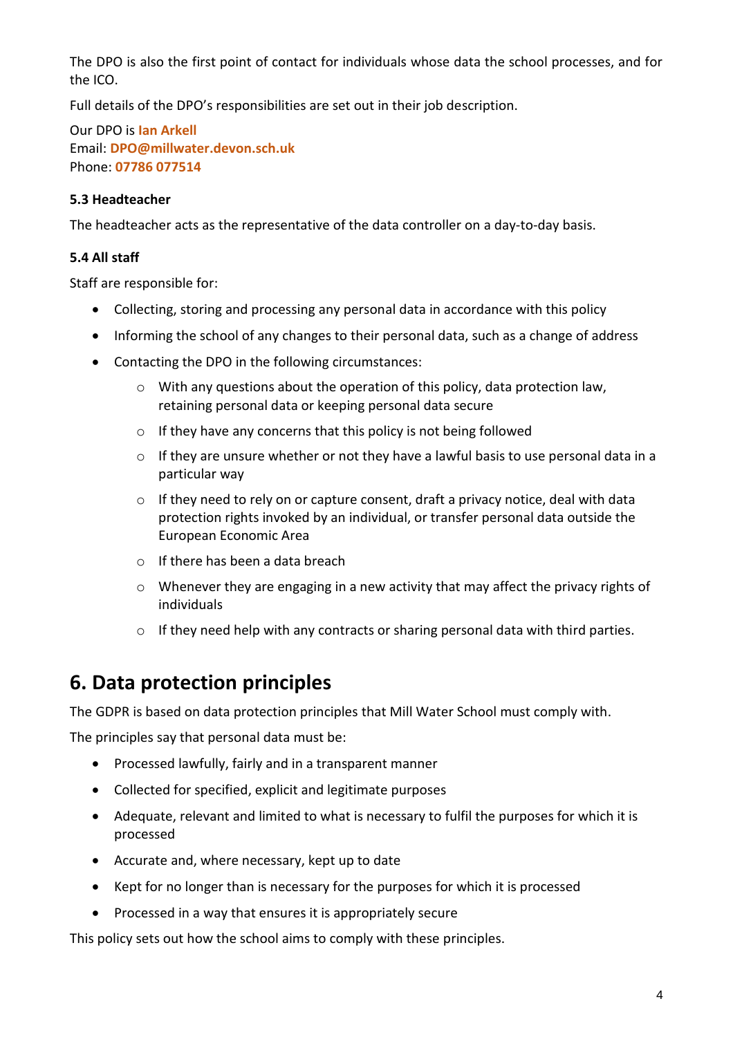The DPO is also the first point of contact for individuals whose data the school processes, and for the ICO.

Full details of the DPO's responsibilities are set out in their job description.

Our DPO is **Ian Arkell** Email: **DPO@millwater.devon.sch.uk** Phone: **07786 077514**

#### **5.3 Headteacher**

The headteacher acts as the representative of the data controller on a day-to-day basis.

#### **5.4 All staff**

Staff are responsible for:

- Collecting, storing and processing any personal data in accordance with this policy
- Informing the school of any changes to their personal data, such as a change of address
- Contacting the DPO in the following circumstances:
	- $\circ$  With any questions about the operation of this policy, data protection law, retaining personal data or keeping personal data secure
	- $\circ$  If they have any concerns that this policy is not being followed
	- $\circ$  If they are unsure whether or not they have a lawful basis to use personal data in a particular way
	- $\circ$  If they need to rely on or capture consent, draft a privacy notice, deal with data protection rights invoked by an individual, or transfer personal data outside the European Economic Area
	- o If there has been a data breach
	- $\circ$  Whenever they are engaging in a new activity that may affect the privacy rights of individuals
	- $\circ$  If they need help with any contracts or sharing personal data with third parties.

### **6. Data protection principles**

The GDPR is based on data protection principles that Mill Water School must comply with.

The principles say that personal data must be:

- Processed lawfully, fairly and in a transparent manner
- Collected for specified, explicit and legitimate purposes
- Adequate, relevant and limited to what is necessary to fulfil the purposes for which it is processed
- Accurate and, where necessary, kept up to date
- Kept for no longer than is necessary for the purposes for which it is processed
- Processed in a way that ensures it is appropriately secure

This policy sets out how the school aims to comply with these principles.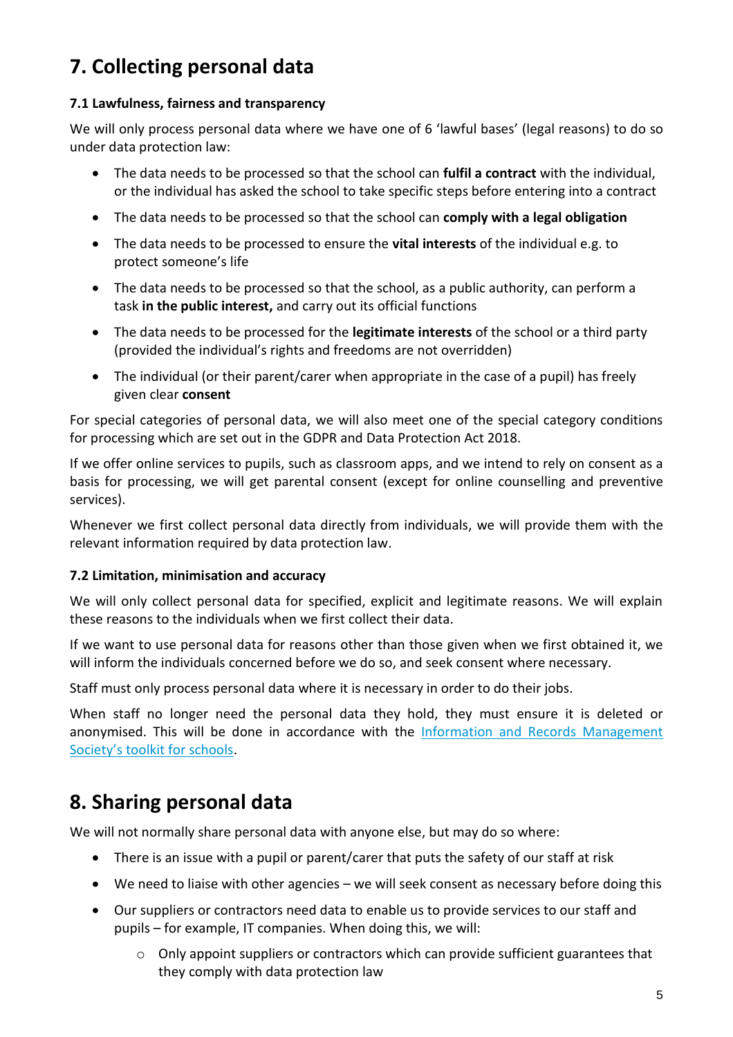### **7. Collecting personal data**

#### **7.1 Lawfulness, fairness and transparency**

We will only process personal data where we have one of 6 'lawful bases' (legal reasons) to do so under data protection law:

- The data needs to be processed so that the school can **fulfil a contract** with the individual, or the individual has asked the school to take specific steps before entering into a contract
- The data needs to be processed so that the school can **comply with a legal obligation**
- The data needs to be processed to ensure the **vital interests** of the individual e.g. to protect someone's life
- The data needs to be processed so that the school, as a public authority, can perform a task **in the public interest,** and carry out its official functions
- The data needs to be processed for the **legitimate interests** of the school or a third party (provided the individual's rights and freedoms are not overridden)
- The individual (or their parent/carer when appropriate in the case of a pupil) has freely given clear **consent**

For special categories of personal data, we will also meet one of the special category conditions for processing which are set out in the GDPR and Data Protection Act 2018.

If we offer online services to pupils, such as classroom apps, and we intend to rely on consent as a basis for processing, we will get parental consent (except for online counselling and preventive services).

Whenever we first collect personal data directly from individuals, we will provide them with the relevant information required by data protection law.

#### **7.2 Limitation, minimisation and accuracy**

We will only collect personal data for specified, explicit and legitimate reasons. We will explain these reasons to the individuals when we first collect their data.

If we want to use personal data for reasons other than those given when we first obtained it, we will inform the individuals concerned before we do so, and seek consent where necessary.

Staff must only process personal data where it is necessary in order to do their jobs.

When staff no longer need the personal data they hold, they must ensure it is deleted or anonymised. This will be done in accordance with the [Information and Records Management](http://irms.org.uk/?page=schoolstoolkit&terms=%22toolkit+and+schools%22)  [Society's toolkit for schools](http://irms.org.uk/?page=schoolstoolkit&terms=%22toolkit+and+schools%22).

### **8. Sharing personal data**

We will not normally share personal data with anyone else, but may do so where:

- There is an issue with a pupil or parent/carer that puts the safety of our staff at risk
- We need to liaise with other agencies we will seek consent as necessary before doing this
- Our suppliers or contractors need data to enable us to provide services to our staff and pupils – for example, IT companies. When doing this, we will:
	- $\circ$  Only appoint suppliers or contractors which can provide sufficient guarantees that they comply with data protection law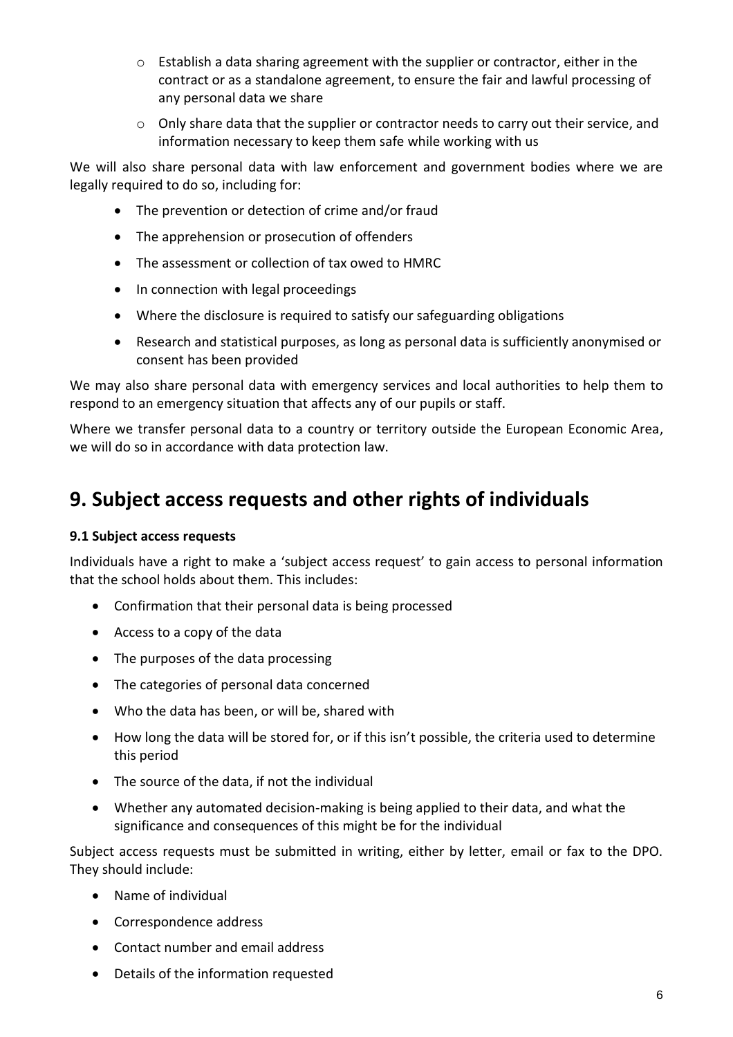- $\circ$  Establish a data sharing agreement with the supplier or contractor, either in the contract or as a standalone agreement, to ensure the fair and lawful processing of any personal data we share
- $\circ$  Only share data that the supplier or contractor needs to carry out their service, and information necessary to keep them safe while working with us

We will also share personal data with law enforcement and government bodies where we are legally required to do so, including for:

- The prevention or detection of crime and/or fraud
- The apprehension or prosecution of offenders
- The assessment or collection of tax owed to HMRC
- In connection with legal proceedings
- Where the disclosure is required to satisfy our safeguarding obligations
- Research and statistical purposes, as long as personal data is sufficiently anonymised or consent has been provided

We may also share personal data with emergency services and local authorities to help them to respond to an emergency situation that affects any of our pupils or staff.

Where we transfer personal data to a country or territory outside the European Economic Area, we will do so in accordance with data protection law.

### **9. Subject access requests and other rights of individuals**

#### **9.1 Subject access requests**

Individuals have a right to make a 'subject access request' to gain access to personal information that the school holds about them. This includes:

- Confirmation that their personal data is being processed
- Access to a copy of the data
- The purposes of the data processing
- The categories of personal data concerned
- Who the data has been, or will be, shared with
- How long the data will be stored for, or if this isn't possible, the criteria used to determine this period
- The source of the data, if not the individual
- Whether any automated decision-making is being applied to their data, and what the significance and consequences of this might be for the individual

Subject access requests must be submitted in writing, either by letter, email or fax to the DPO. They should include:

- Name of individual
- Correspondence address
- Contact number and email address
- Details of the information requested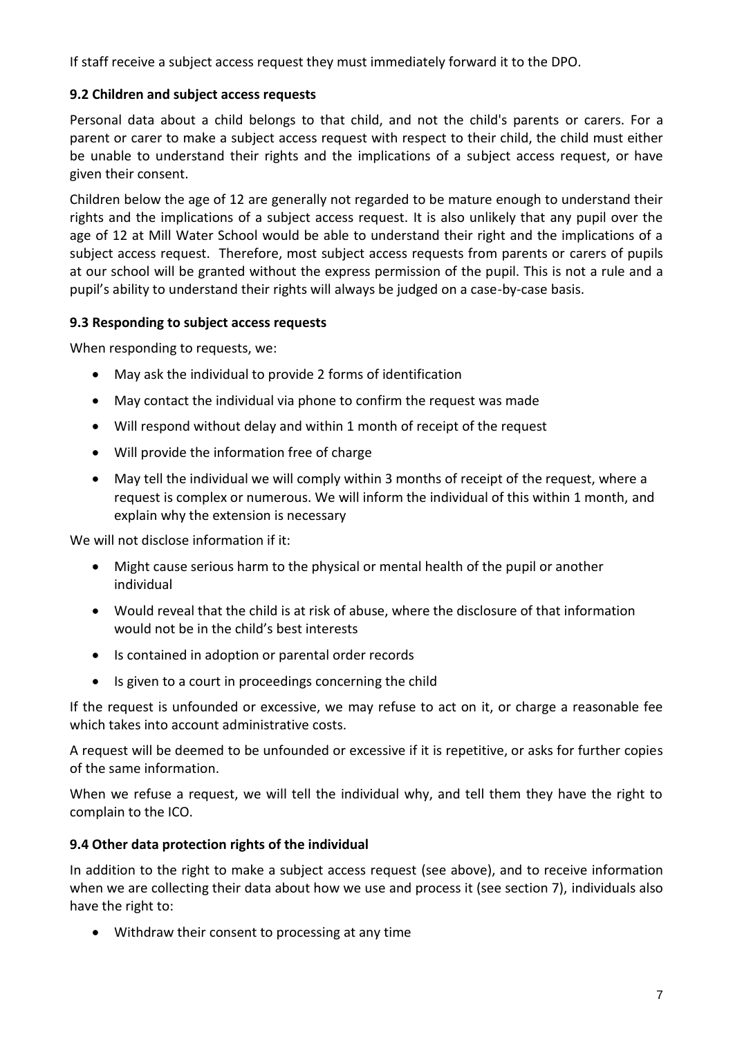If staff receive a subject access request they must immediately forward it to the DPO.

#### **9.2 Children and subject access requests**

Personal data about a child belongs to that child, and not the child's parents or carers. For a parent or carer to make a subject access request with respect to their child, the child must either be unable to understand their rights and the implications of a subject access request, or have given their consent.

Children below the age of 12 are generally not regarded to be mature enough to understand their rights and the implications of a subject access request. It is also unlikely that any pupil over the age of 12 at Mill Water School would be able to understand their right and the implications of a subject access request. Therefore, most subject access requests from parents or carers of pupils at our school will be granted without the express permission of the pupil. This is not a rule and a pupil's ability to understand their rights will always be judged on a case-by-case basis.

#### **9.3 Responding to subject access requests**

When responding to requests, we:

- May ask the individual to provide 2 forms of identification
- May contact the individual via phone to confirm the request was made
- Will respond without delay and within 1 month of receipt of the request
- Will provide the information free of charge
- May tell the individual we will comply within 3 months of receipt of the request, where a request is complex or numerous. We will inform the individual of this within 1 month, and explain why the extension is necessary

We will not disclose information if it:

- Might cause serious harm to the physical or mental health of the pupil or another individual
- Would reveal that the child is at risk of abuse, where the disclosure of that information would not be in the child's best interests
- Is contained in adoption or parental order records
- Is given to a court in proceedings concerning the child

If the request is unfounded or excessive, we may refuse to act on it, or charge a reasonable fee which takes into account administrative costs.

A request will be deemed to be unfounded or excessive if it is repetitive, or asks for further copies of the same information.

When we refuse a request, we will tell the individual why, and tell them they have the right to complain to the ICO.

#### **9.4 Other data protection rights of the individual**

In addition to the right to make a subject access request (see above), and to receive information when we are collecting their data about how we use and process it (see section 7), individuals also have the right to:

Withdraw their consent to processing at any time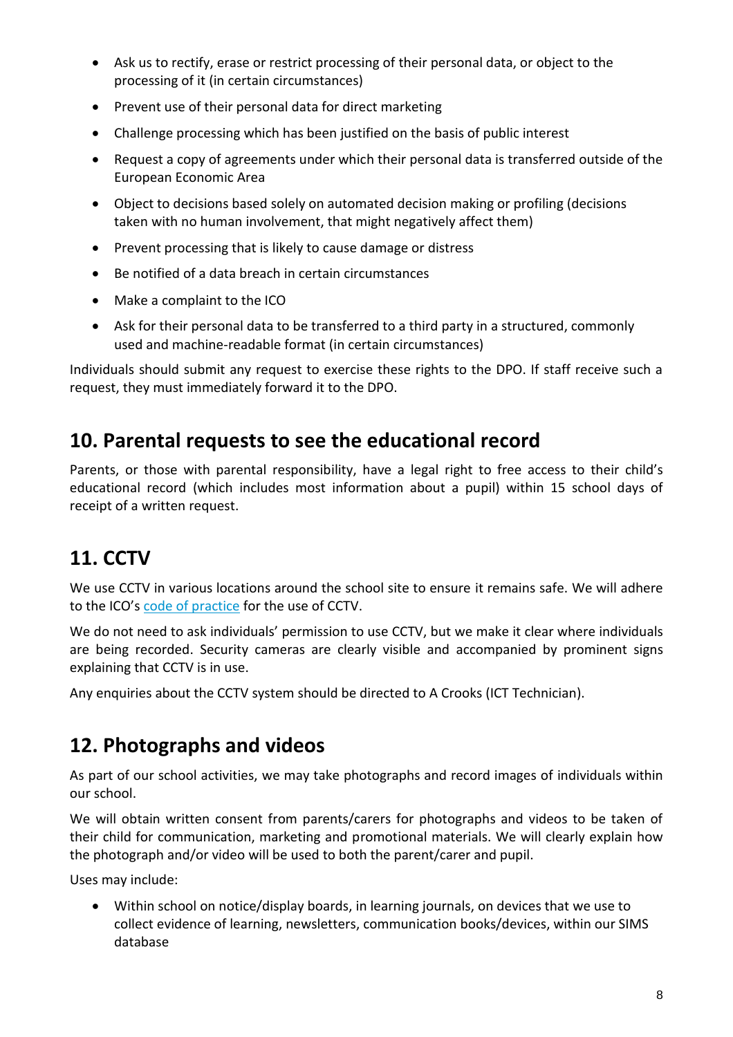- Ask us to rectify, erase or restrict processing of their personal data, or object to the processing of it (in certain circumstances)
- Prevent use of their personal data for direct marketing
- Challenge processing which has been justified on the basis of public interest
- Request a copy of agreements under which their personal data is transferred outside of the European Economic Area
- Object to decisions based solely on automated decision making or profiling (decisions taken with no human involvement, that might negatively affect them)
- Prevent processing that is likely to cause damage or distress
- Be notified of a data breach in certain circumstances
- Make a complaint to the ICO
- Ask for their personal data to be transferred to a third party in a structured, commonly used and machine-readable format (in certain circumstances)

Individuals should submit any request to exercise these rights to the DPO. If staff receive such a request, they must immediately forward it to the DPO.

### **10. Parental requests to see the educational record**

Parents, or those with parental responsibility, have a legal right to free access to their child's educational record (which includes most information about a pupil) within 15 school days of receipt of a written request.

### **11. CCTV**

We use CCTV in various locations around the school site to ensure it remains safe. We will adhere to the ICO's [code of practice](https://ico.org.uk/media/for-organisations/documents/1542/cctv-code-of-practice.pdf) for the use of CCTV.

We do not need to ask individuals' permission to use CCTV, but we make it clear where individuals are being recorded. Security cameras are clearly visible and accompanied by prominent signs explaining that CCTV is in use.

Any enquiries about the CCTV system should be directed to A Crooks (ICT Technician).

### **12. Photographs and videos**

As part of our school activities, we may take photographs and record images of individuals within our school.

We will obtain written consent from parents/carers for photographs and videos to be taken of their child for communication, marketing and promotional materials. We will clearly explain how the photograph and/or video will be used to both the parent/carer and pupil.

Uses may include:

 Within school on notice/display boards, in learning journals, on devices that we use to collect evidence of learning, newsletters, communication books/devices, within our SIMS database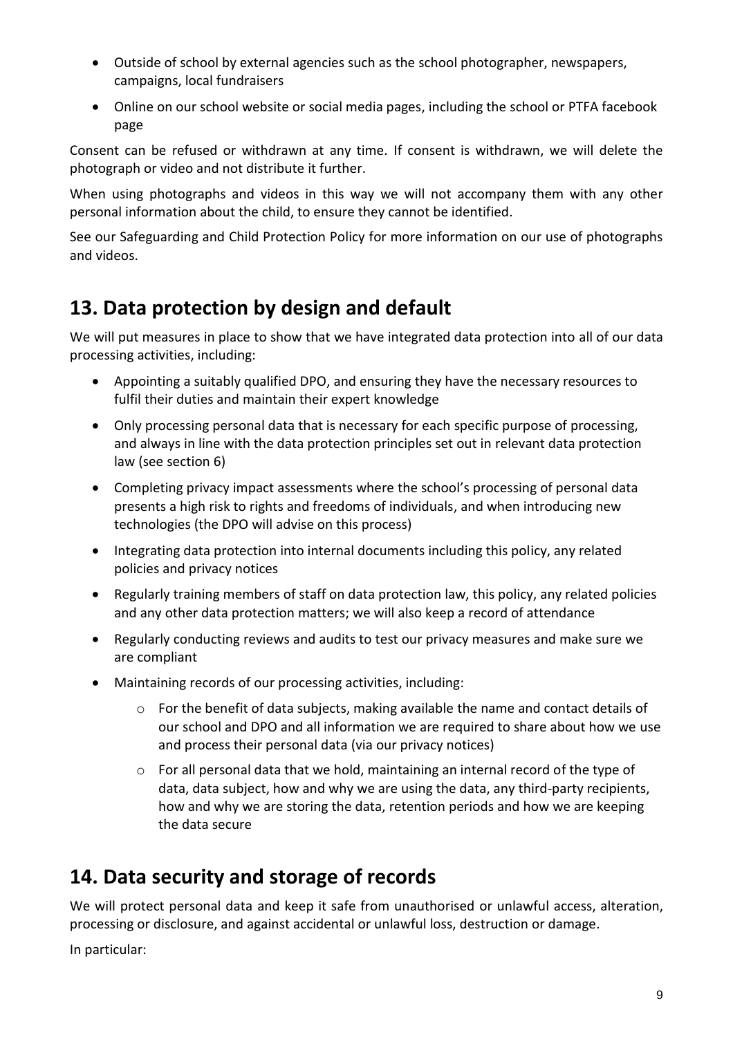- Outside of school by external agencies such as the school photographer, newspapers, campaigns, local fundraisers
- Online on our school website or social media pages, including the school or PTFA facebook page

Consent can be refused or withdrawn at any time. If consent is withdrawn, we will delete the photograph or video and not distribute it further.

When using photographs and videos in this way we will not accompany them with any other personal information about the child, to ensure they cannot be identified.

See our Safeguarding and Child Protection Policy for more information on our use of photographs and videos.

### **13. Data protection by design and default**

We will put measures in place to show that we have integrated data protection into all of our data processing activities, including:

- Appointing a suitably qualified DPO, and ensuring they have the necessary resources to fulfil their duties and maintain their expert knowledge
- Only processing personal data that is necessary for each specific purpose of processing, and always in line with the data protection principles set out in relevant data protection law (see section 6)
- Completing privacy impact assessments where the school's processing of personal data presents a high risk to rights and freedoms of individuals, and when introducing new technologies (the DPO will advise on this process)
- Integrating data protection into internal documents including this policy, any related policies and privacy notices
- Regularly training members of staff on data protection law, this policy, any related policies and any other data protection matters; we will also keep a record of attendance
- Regularly conducting reviews and audits to test our privacy measures and make sure we are compliant
- Maintaining records of our processing activities, including:
	- o For the benefit of data subjects, making available the name and contact details of our school and DPO and all information we are required to share about how we use and process their personal data (via our privacy notices)
	- $\circ$  For all personal data that we hold, maintaining an internal record of the type of data, data subject, how and why we are using the data, any third-party recipients, how and why we are storing the data, retention periods and how we are keeping the data secure

### **14. Data security and storage of records**

We will protect personal data and keep it safe from unauthorised or unlawful access, alteration, processing or disclosure, and against accidental or unlawful loss, destruction or damage.

In particular: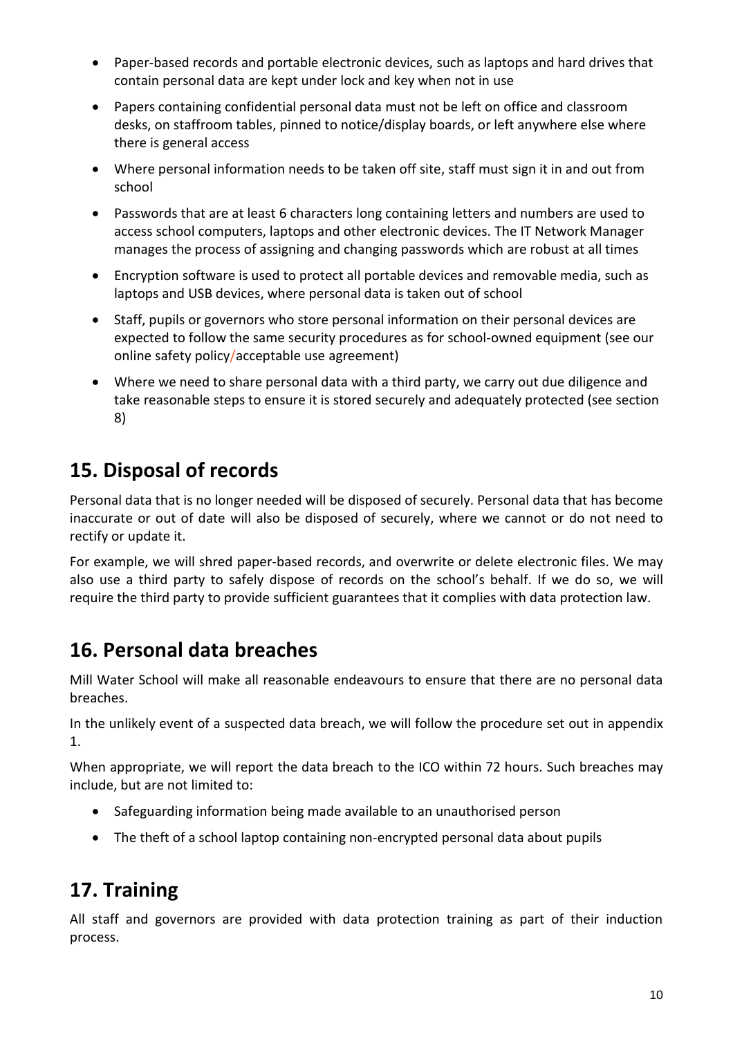- Paper-based records and portable electronic devices, such as laptops and hard drives that contain personal data are kept under lock and key when not in use
- Papers containing confidential personal data must not be left on office and classroom desks, on staffroom tables, pinned to notice/display boards, or left anywhere else where there is general access
- Where personal information needs to be taken off site, staff must sign it in and out from school
- Passwords that are at least 6 characters long containing letters and numbers are used to access school computers, laptops and other electronic devices. The IT Network Manager manages the process of assigning and changing passwords which are robust at all times
- Encryption software is used to protect all portable devices and removable media, such as laptops and USB devices, where personal data is taken out of school
- Staff, pupils or governors who store personal information on their personal devices are expected to follow the same security procedures as for school-owned equipment (see our online safety policy/acceptable use agreement)
- Where we need to share personal data with a third party, we carry out due diligence and take reasonable steps to ensure it is stored securely and adequately protected (see section 8)

### **15. Disposal of records**

Personal data that is no longer needed will be disposed of securely. Personal data that has become inaccurate or out of date will also be disposed of securely, where we cannot or do not need to rectify or update it.

For example, we will shred paper-based records, and overwrite or delete electronic files. We may also use a third party to safely dispose of records on the school's behalf. If we do so, we will require the third party to provide sufficient guarantees that it complies with data protection law.

### **16. Personal data breaches**

Mill Water School will make all reasonable endeavours to ensure that there are no personal data breaches.

In the unlikely event of a suspected data breach, we will follow the procedure set out in appendix 1.

When appropriate, we will report the data breach to the ICO within 72 hours. Such breaches may include, but are not limited to:

- Safeguarding information being made available to an unauthorised person
- The theft of a school laptop containing non-encrypted personal data about pupils

### **17. Training**

All staff and governors are provided with data protection training as part of their induction process.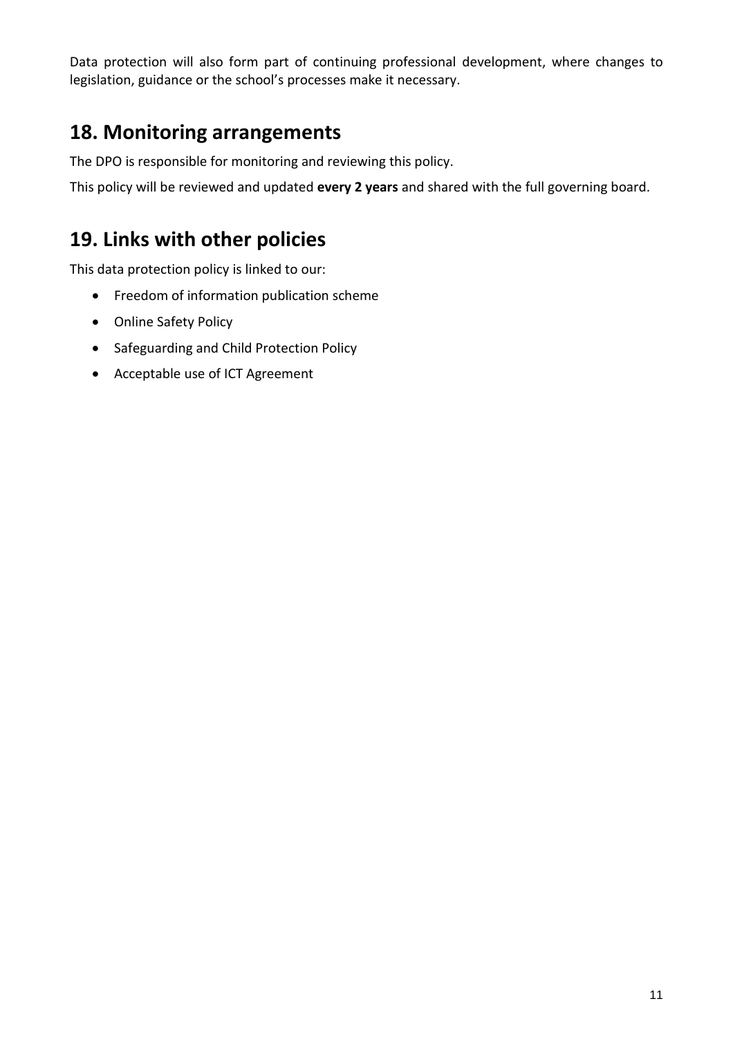Data protection will also form part of continuing professional development, where changes to legislation, guidance or the school's processes make it necessary.

### **18. Monitoring arrangements**

The DPO is responsible for monitoring and reviewing this policy.

This policy will be reviewed and updated **every 2 years** and shared with the full governing board.

### **19. Links with other policies**

This data protection policy is linked to our:

- Freedom of information publication scheme
- Online Safety Policy
- Safeguarding and Child Protection Policy
- Acceptable use of ICT Agreement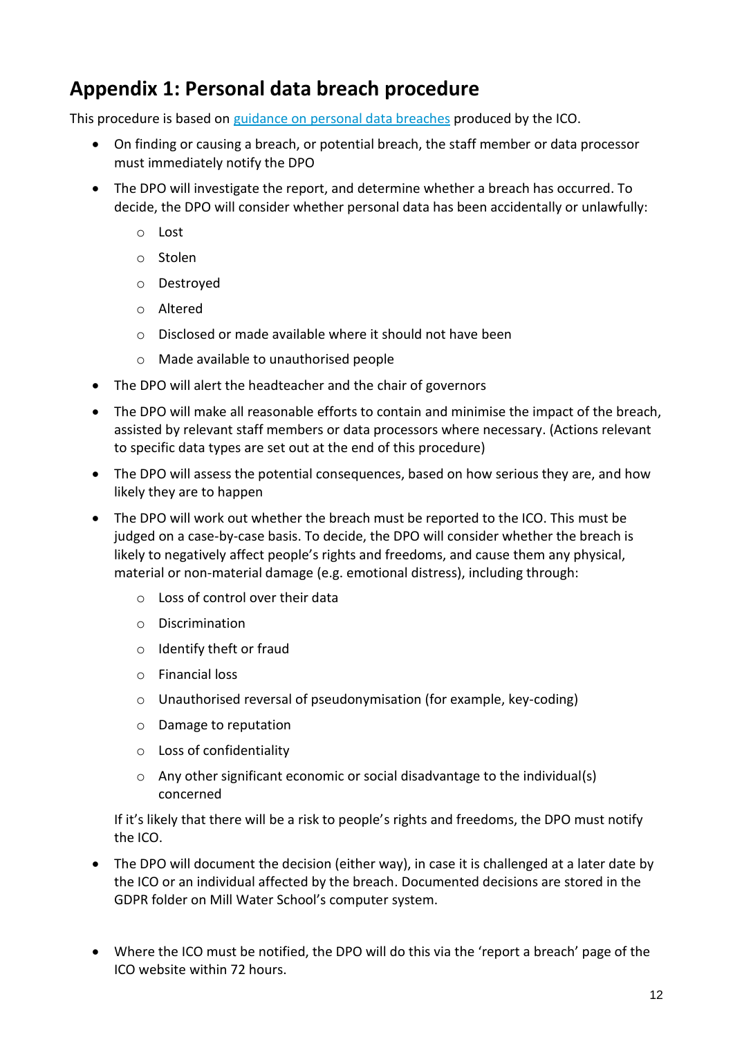### **Appendix 1: Personal data breach procedure**

This procedure is based on [guidance on personal data breaches](https://ico.org.uk/for-organisations/guide-to-the-general-data-protection-regulation-gdpr/personal-data-breaches/) produced by the ICO.

- On finding or causing a breach, or potential breach, the staff member or data processor must immediately notify the DPO
- The DPO will investigate the report, and determine whether a breach has occurred. To decide, the DPO will consider whether personal data has been accidentally or unlawfully:
	- o Lost
	- o Stolen
	- o Destroyed
	- o Altered
	- o Disclosed or made available where it should not have been
	- o Made available to unauthorised people
- The DPO will alert the headteacher and the chair of governors
- The DPO will make all reasonable efforts to contain and minimise the impact of the breach, assisted by relevant staff members or data processors where necessary. (Actions relevant to specific data types are set out at the end of this procedure)
- The DPO will assess the potential consequences, based on how serious they are, and how likely they are to happen
- The DPO will work out whether the breach must be reported to the ICO. This must be judged on a case-by-case basis. To decide, the DPO will consider whether the breach is likely to negatively affect people's rights and freedoms, and cause them any physical, material or non-material damage (e.g. emotional distress), including through:
	- o Loss of control over their data
	- o Discrimination
	- o Identify theft or fraud
	- o Financial loss
	- o Unauthorised reversal of pseudonymisation (for example, key-coding)
	- o Damage to reputation
	- o Loss of confidentiality
	- $\circ$  Any other significant economic or social disadvantage to the individual(s) concerned

If it's likely that there will be a risk to people's rights and freedoms, the DPO must notify the ICO.

- The DPO will document the decision (either way), in case it is challenged at a later date by the ICO or an individual affected by the breach. Documented decisions are stored in the GDPR folder on Mill Water School's computer system.
- Where the ICO must be notified, the DPO will do this via the 'report a breach' page of the ICO website within 72 hours.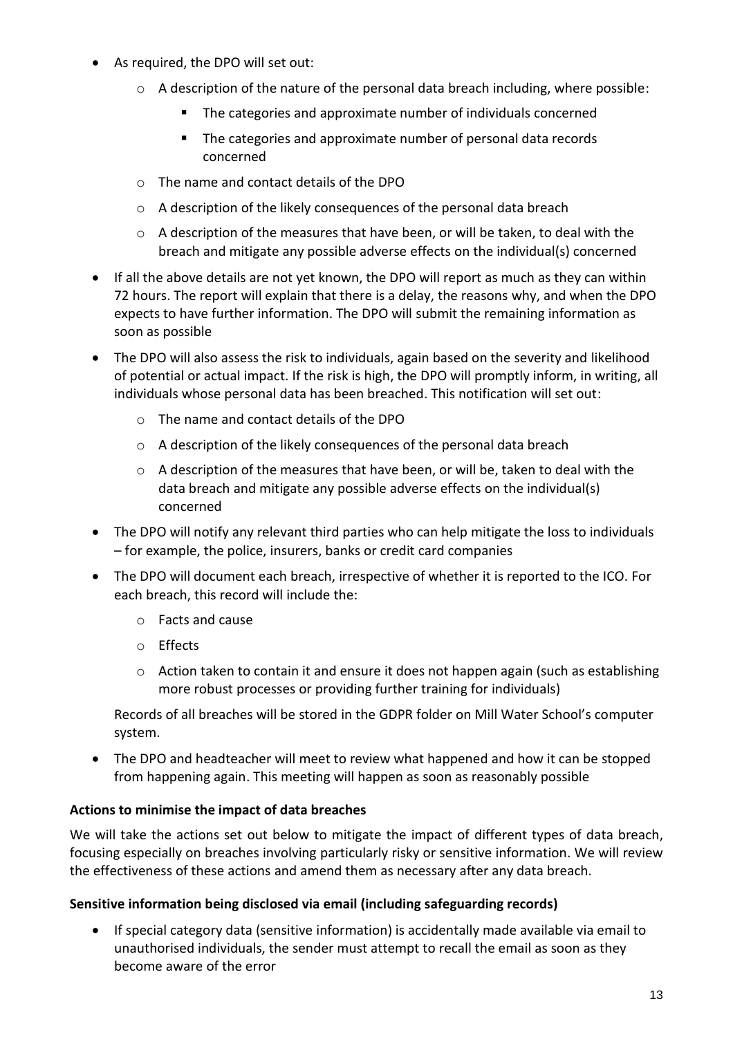- As required, the DPO will set out:
	- o A description of the nature of the personal data breach including, where possible:
		- **The categories and approximate number of individuals concerned**
		- **The categories and approximate number of personal data records** concerned
	- o The name and contact details of the DPO
	- o A description of the likely consequences of the personal data breach
	- $\circ$  A description of the measures that have been, or will be taken, to deal with the breach and mitigate any possible adverse effects on the individual(s) concerned
- If all the above details are not yet known, the DPO will report as much as they can within 72 hours. The report will explain that there is a delay, the reasons why, and when the DPO expects to have further information. The DPO will submit the remaining information as soon as possible
- The DPO will also assess the risk to individuals, again based on the severity and likelihood of potential or actual impact. If the risk is high, the DPO will promptly inform, in writing, all individuals whose personal data has been breached. This notification will set out:
	- o The name and contact details of the DPO
	- o A description of the likely consequences of the personal data breach
	- $\circ$  A description of the measures that have been, or will be, taken to deal with the data breach and mitigate any possible adverse effects on the individual(s) concerned
- The DPO will notify any relevant third parties who can help mitigate the loss to individuals – for example, the police, insurers, banks or credit card companies
- The DPO will document each breach, irrespective of whether it is reported to the ICO. For each breach, this record will include the:
	- o Facts and cause
	- o Effects
	- $\circ$  Action taken to contain it and ensure it does not happen again (such as establishing more robust processes or providing further training for individuals)

Records of all breaches will be stored in the GDPR folder on Mill Water School's computer system.

 The DPO and headteacher will meet to review what happened and how it can be stopped from happening again. This meeting will happen as soon as reasonably possible

#### **Actions to minimise the impact of data breaches**

We will take the actions set out below to mitigate the impact of different types of data breach, focusing especially on breaches involving particularly risky or sensitive information. We will review the effectiveness of these actions and amend them as necessary after any data breach.

#### **Sensitive information being disclosed via email (including safeguarding records)**

 If special category data (sensitive information) is accidentally made available via email to unauthorised individuals, the sender must attempt to recall the email as soon as they become aware of the error